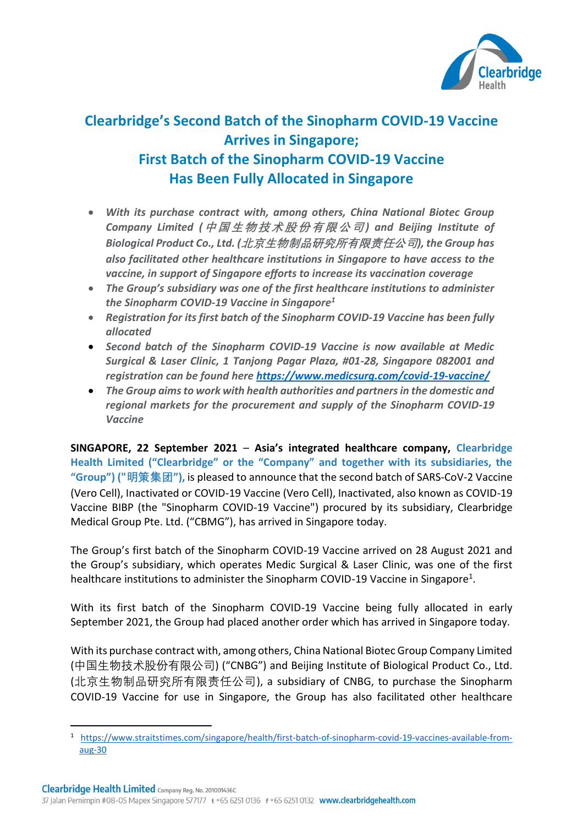

## **Clearbridge's Second Batch of the Sinopharm COVID-19 Vaccine Arrives in Singapore; First Batch of the Sinopharm COVID-19 Vaccine Has Been Fully Allocated in Singapore**

- *With its purchase contract with, among others, China National Biotec Group Company Limited (***中国生物技术股份有限公司***) and Beijing Institute of Biological Product Co., Ltd. (***北京生物制品研究所有限责任公司***), the Group has also facilitated other healthcare institutions in Singapore to have access to the vaccine, in support of Singapore efforts to increase its vaccination coverage*
- *The Group's subsidiary was one of the first healthcare institutions to administer the Sinopharm COVID-19 Vaccine in Singapore<sup>1</sup>*
- *Registration for its first batch of the Sinopharm COVID-19 Vaccine has been fully allocated*
- *Second batch of the Sinopharm COVID-19 Vaccine is now available at Medic Surgical & Laser Clinic, 1 Tanjong Pagar Plaza, #01-28, Singapore 082001 and registration can be found here https://www.medicsurg.com/covid-19-vaccine/*
- *The Group aims to work with health authorities and partners in the domestic and regional markets for the procurement and supply of the Sinopharm COVID-19 Vaccine*

**SINGAPORE, 22 September 2021** – **Asia's integrated healthcare company, Clearbridge Health Limited ("Clearbridge" or the "Company" and together with its subsidiaries, the "Group") ("明策集团"),** is pleased to announce that the second batch of SARS-CoV-2 Vaccine (Vero Cell), Inactivated or COVID-19 Vaccine (Vero Cell), Inactivated, also known as COVID-19 Vaccine BIBP (the "Sinopharm COVID-19 Vaccine") procured by its subsidiary, Clearbridge Medical Group Pte. Ltd. ("CBMG"), has arrived in Singapore today.

The Group's first batch of the Sinopharm COVID-19 Vaccine arrived on 28 August 2021 and the Group's subsidiary, which operates Medic Surgical & Laser Clinic, was one of the first healthcare institutions to administer the Sinopharm COVID-19 Vaccine in Singapore<sup>1</sup>.

With its first batch of the Sinopharm COVID-19 Vaccine being fully allocated in early September 2021, the Group had placed another order which has arrived in Singapore today.

With its purchase contract with, among others, China National Biotec Group Company Limited (中国生物技术股份有限公司) ("CNBG") and Beijing Institute of Biological Product Co., Ltd. (北京生物制品研究所有限责任公司), a subsidiary of CNBG, to purchase the Sinopharm COVID-19 Vaccine for use in Singapore, the Group has also facilitated other healthcare

<sup>1</sup> https://www.straitstimes.com/singapore/health/first-batch-of-sinopharm-covid-19-vaccines-available-fromaug-30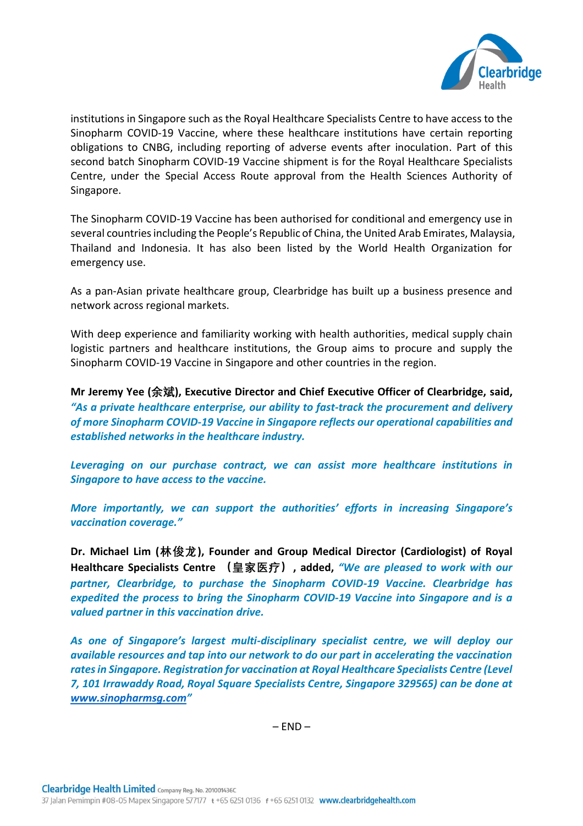

institutions in Singapore such as the Royal Healthcare Specialists Centre to have access to the Sinopharm COVID-19 Vaccine, where these healthcare institutions have certain reporting obligations to CNBG, including reporting of adverse events after inoculation. Part of this second batch Sinopharm COVID-19 Vaccine shipment is for the Royal Healthcare Specialists Centre, under the Special Access Route approval from the Health Sciences Authority of Singapore.

The Sinopharm COVID-19 Vaccine has been authorised for conditional and emergency use in several countries including the People's Republic of China, the United Arab Emirates, Malaysia, Thailand and Indonesia. It has also been listed by the World Health Organization for emergency use.

As a pan-Asian private healthcare group, Clearbridge has built up a business presence and network across regional markets.

With deep experience and familiarity working with health authorities, medical supply chain logistic partners and healthcare institutions, the Group aims to procure and supply the Sinopharm COVID-19 Vaccine in Singapore and other countries in the region.

**Mr Jeremy Yee (余斌), Executive Director and Chief Executive Officer of Clearbridge, said,**  *"As a private healthcare enterprise, our ability to fast-track the procurement and delivery of more Sinopharm COVID-19 Vaccine in Singapore reflects our operational capabilities and established networks in the healthcare industry.* 

*Leveraging on our purchase contract, we can assist more healthcare institutions in Singapore to have access to the vaccine.*

*More importantly, we can support the authorities' efforts in increasing Singapore's vaccination coverage."*

**Dr. Michael Lim (林俊龙), Founder and Group Medical Director (Cardiologist) of Royal Healthcare Specialists Centre (皇家医疗), added,** *"We are pleased to work with our partner, Clearbridge, to purchase the Sinopharm COVID-19 Vaccine. Clearbridge has expedited the process to bring the Sinopharm COVID-19 Vaccine into Singapore and is a valued partner in this vaccination drive.*

*As one of Singapore's largest multi-disciplinary specialist centre, we will deploy our available resources and tap into our network to do our part in accelerating the vaccination rates in Singapore. Registration for vaccination at Royal Healthcare Specialists Centre (Level 7, 101 Irrawaddy Road, Royal Square Specialists Centre, Singapore 329565) can be done at [www.sinopharmsg.com](http://www.sinopharmsg.com/)"*

 $-$  END $-$